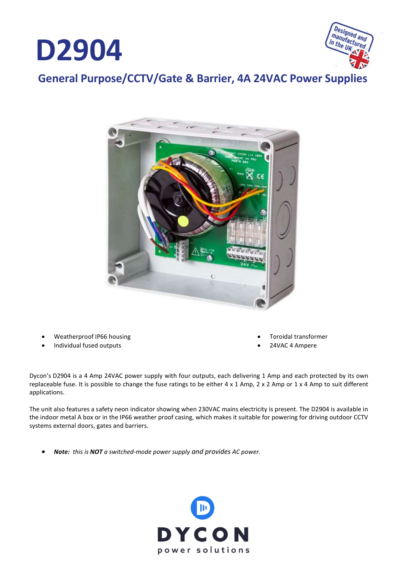



General Purpose/CCTV/Gate & Barrier, 4A 24VAC Power Supplies



- Weatherproof IP66 housing
- Individual fused outputs
- Toroidal transformer
- 24VAC 4 Ampere

Dycon's D2904 is a 4 Amp 24VAC power supply with four outputs, each delivering 1 Amp and each protected by its own replaceable fuse. It is possible to change the fuse ratings to be either  $4 \times 1$  Amp,  $2 \times 2$  Amp or  $1 \times 4$  Amp to suit different applications.

The unit also features a safety neon indicator showing when 230VAC mains electricity is present. The D2904 is available in the indoor metal A box or in the IP66 weather proof casing, which makes it suitable for powering for driving outdoor CCTV systems external doors, gates and barriers.

Note: this is NOT a switched-mode power supply and provides AC power.